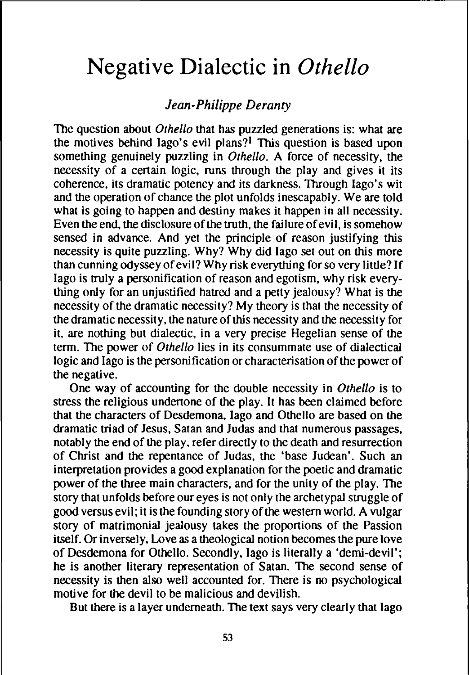# **Negative Dialectic in** *Othello*

# *Jean-Philippe Deranty*

The question about *Othello* that has puzzled generations is: what are the motives behind lago's evil plans?<sup>1</sup> This question is based upon something genuinely puzzling in *Othello.* A force of necessity, the necessity of a certain logic, runs through the play and gives it its coherence. its dramatic potency and its darkness. Through lago's wit and the operation of chance the plot unfolds inescapably. We are told what is going to happen and destiny makes it happen in all necessity. Even the end, the disclosure of the truth, the failure of evil, is somehow sensed in advance. And yet the principle of reason justifying this necessity is quite puzzling. Why? Why did lago set out on this more than cunning odyssey of evil? Why risk everything for so very little? If lago is truly a personification of reason and egotism, why risk everything only for an unjustified hatred and a petty jealousy? What is the necessity of the dramatic necessity? My theory is that the necessity of the dramatic necessity, the nature of this necessity and the necessity for it. are nothing but dialectic. in a very precise Hegelian sense of the term. The power of *Othello* lies in its consummate use of dialectical logic and lago is the personification or characterisation of the power of the negative.

One way of accounting for the double necessity in *Othello* is to stress the religious undertone of the play. It has been claimed before that the characters of Desdemona. Iago and Othello are based on the dramatic triad of Jesus, Satan and Judas and that numerous passages, notably the end of the play, refer directly to the death and resurrection of Christ and the repentance of Judas. the 'base Judean'. Such an interpretation provides a good explanation for the poetic and dramatic power of the three main characters. and for the unity of the play. The story that unfolds before our eyes is not only the archetypal struggle of good versus evil; it is the founding story of the western world. A vulgar story of matrimonial jealousy takes the proportions of the Passion itself. Or inversely, Love as a theological notion becomes the pure love of Desdemona for Othello. Secondly. Iago is literally a 'derni-devil'; he is another literary representation of Satan. The second sense of necessity is then also well accounted for. There is no psychological motive for the devil to be malicious and devilish.

But there is a layer underneath. The text says very clearly that Iago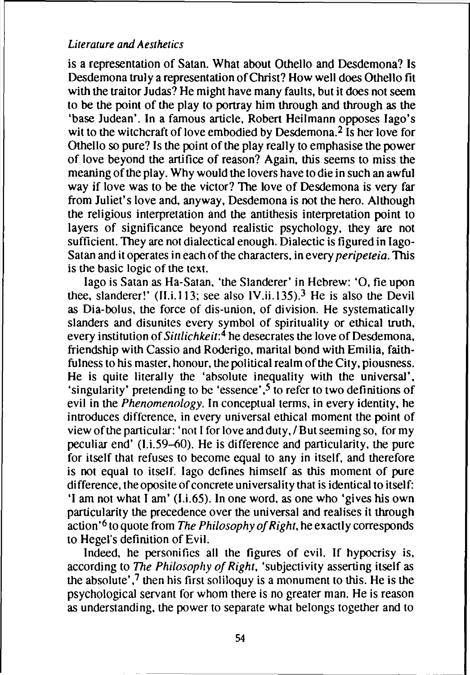is a representation of Satan. What about Othello and Desdemona? Is Desdemona truly a representation of Christ? How well does Othello fit with the traitor Judas? He might have many faults, but it does not seem to be the point of the play to portray him through and through as the 'base Judean'. In a famous article, Robert Heilmann opposes Iago's wit to the witchcraft of love embodied by Desdemona.<sup>2</sup> Is her love for Othello so pure? Is the point of the play really to emphasise the power of love beyond the artifice of reason? Again, this seems to miss the meaning of the play. Why would the lovers have to die in such an awful way if love was to be the victor? The love of Desdemona is very far from Juliet's love and, anyway, Desdemona is not the hero. Although the religious interpretation and the antithesis interpretation point to layers of significance beyond realistic psychology, they are not sufficient. They are not dialectical enough. Dialectic is figured in Iago-Satan and it operates in each of the characters, in every *peripeteia*. This is the basic logic of the text.

Iago is Satan as Ha-Satan. 'the Slanderer' in Hebrew: '0. fie upon thee, slanderer!' (II.i.113; see also IV.ii.135).<sup>3</sup> He is also the Devil as Dia-bolus. the force of dis-union. of division. He systematically slanders and disunites every symbol of spirituality or ethical truth. every institution of Sittlichkeit: $\frac{4}{3}$  he desecrates the love of Desdemona, friendship with Cassio and Roderigo. marital bond with Emilia, faithfulness to his master, honour, the political realm of the City, piousness. He is quite literally the 'absolute inequality with the universal'. 'singularity' pretending to be 'essence' ,5 to refer to two definitions of evil in the *Phenomenology*. In conceptual terms, in every identity, he introduces difference. in every universal ethical moment the point of view ofthe particular: 'not I for love and duty, / Butseeming so. for my peculiar end' (1.i.59-60). He is difference and particularity. the pure for itself that refuses to become equal to any in itself, and therefore is not equal to itself. Iago defines himself as this moment of pure difference, the oposite of concrete universality that is identical to itself: 'I am not what I am' (I.L65). In one word, as one who 'gives his own particularity the precedence over the universal and realises it through  $\arctan^{6}$  to quote from The Philosophy of Right, he exactly corresponds to Hegel's definition of Evil.

Indeed, he personifies all the figures of evil. If hypocrisy is, according to The Philosophy of Right, 'subjectivity asserting itself as the absolute',<sup>7</sup> then his first soliloquy is a monument to this. He is the psychological servant for whom there is no greater man. He is reason as understanding. the power to separate what belongs together and to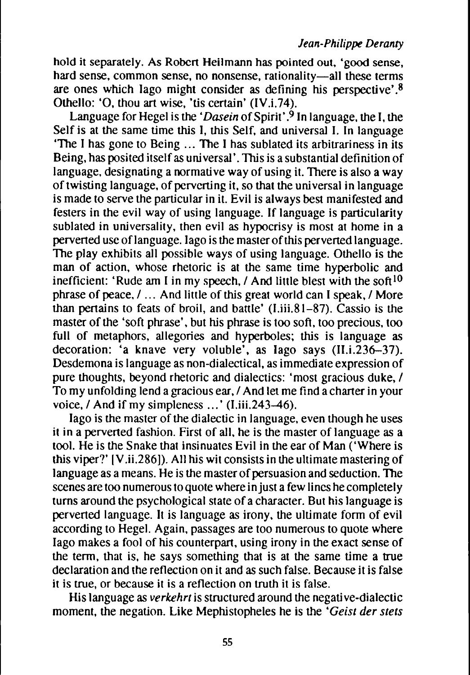hold it separately. As Robert Heilmann has pointed out, 'good sense, hard sense, common sense, no nonsense, rationality-all these terms are ones which Iago might consider as defining his perspective'.8 Othello: 'O, thou art wise, 'tis certain' (IV.i.74).

Language for Hegel is the *'Dasein* of Spirit'.<sup>9</sup> In language, the I, the Self is at the same time this I, this Self, and universal I. In language 'The I has gone to Being ... The I has sublated its arbitrariness in its Being, has posited itself as universal'. This is a substantial definition of language, designating a normative way of using it. There is also a way of twisting language, of perverting it, so that the universal in language is made to serve the particular in it. Evil is always best manifested and festers in the evil way of using language. If language is particularity sublated in universality, then evil as hypocrisy is most at home in a perverted use oflanguage. lago is the master ofthis perverted language. The play exhibits all possible ways of using language. Othello is the man of action, whose rhetoric is at the same time hyperbolic and inefficient: 'Rude am I in my speech, / And little blest with the soft<sup>10</sup> phrase of peace, / ... And little of this great world can I speak, / More than pertains to feats of broil, and battle'  $(I.iii.81-87)$ . Cassio is the master of the 'soft phrase', but his phrase is too soft, too precious, too full of metaphors, allegories and hyperboles; this is language as decoration: 'a knave very voluble', as Iago says (II.i.236-37). Desdemona is language as non-dialectical, as immediate expression of pure thoughts, beyond rhetoric and dialectics: 'most gracious duke, / To my unfolding lend a gracious ear, / And let me find a charter in your voice, / And if my simpleness ...' (I.iii.243-46).

lago is the master of the dialectic in language, even though he uses it in a perverted fashion. First of all, he is the master of language as a tool. He is the Snake that insinuates Evil in the ear of Man ('Where is this viper?'  $[V.ii.286]$ . All his wit consists in the ultimate mastering of language as a means. He is the master of persuasion and seduction. The scenes are too numerous to quote where in just a few lines he completely turns around the psychological state of a character. But his language is perverted language. It is language as irony, the ultimate form of evil according to Hegel. Again, passages are too numerous to quote where lago makes a fool of his counterpart, using irony in the exact sense of the term, that is, he says something that is at the same time a true declaration and the reflection on it and as such false. Because it is false it is true, or because it is a reflection on truth it is false.

His language as *verkehrt* is structured around the negative-dialectic moment, the negation. Like Mephistopheles he is the *'Geist der stets*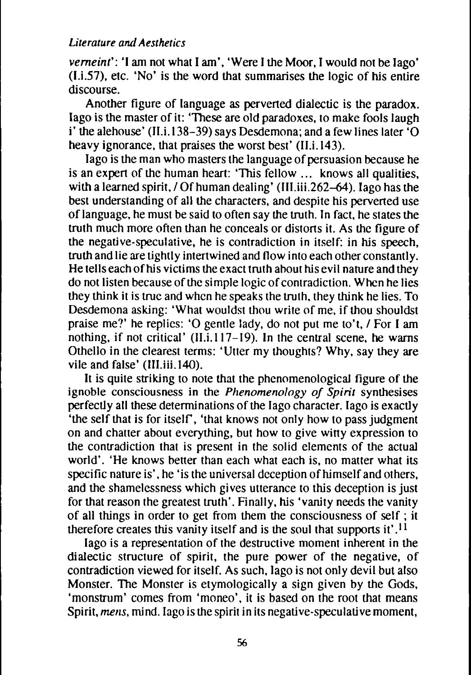*vemein":* 'I am not what I am', 'Were I the Moor, I would not be lago' (U.57), etc. 'No' is the word that summarises the logic of his entire discourse.

Another figure of language as pervened dialectic is the paradox. lago is the master of it: 'These are old paradoxes, to make fools laugh i' the alehouse' (II.i.  $138-39$ ) says Desdemona; and a few lines later 'O heavy ignorance, that praises the worst best' (II.i.143).

lago is the man who masters the language of persuasion because he is an expen of the human heart: 'This fellow... knows all qualities, with a learned spirit,  $\sqrt{Of}$  human dealing' (III.iii.262-64). Iago has the best understanding of all the characters, and despite his perverted use oflanguage, he must be said to often say the truth. In fact, he states the truth much more often than he conceals or distons it. As the figure of the negative-speculative, he is contradiction in itself: in his speech, truth and lie are tightly intertwined and flow into each other constantly. He tells each of his victims the exact truth about his evil nature and they do not listen because of the simple logic of contradiction. When he lies they think it is true and when he speaks the truth, they think he lies. To Desdemona asking: 'What wouldst thou write of me. if thou shouldst praise me?' he replies: '0 gentle lady. do not put me to't. / For I am nothing, if not critical' (l1.i.117-19). In the central scene. he warns Othello in the clearest terms: 'Utter my thoughts? Why. say they are vile and false' (III.iii. 140).

It is quite striking to note that the phenomenological figure of the ignoble consciousness in the *Phenomenology of Spirit* synthesises perfectly all these determinations of the lago character. lago is exactly 'the self that is for itself, 'that knows not only how to pass judgment on and chatter about everything, but how to give witty expression to the contradiction that is present in the solid elements of the actual world'. 'He knows better than each what each is, no matter what its specific nature is', he 'is the universal deception of himself and others, and the shamelessness which gives utterance to this deception is just for that reason the greatest truth'. Finally, his 'vanity needs the vanity of all things in order to get from them the consciousness of self; it therefore creates this vanity itself and is the soul that supports it' .11

lago is a representation of the destructive moment inherent in the dialectic structure of spirit, the pure power of the negative, of contradiction viewed for itself. As such, lago is not only devil but also Monster. The Monster is etymologically a sign given by the Gods, 'monstrum' comes from 'moneo', it is based on the root that means Spirit, *mens*, mind. Iago is the spirit in its negative-speculative moment,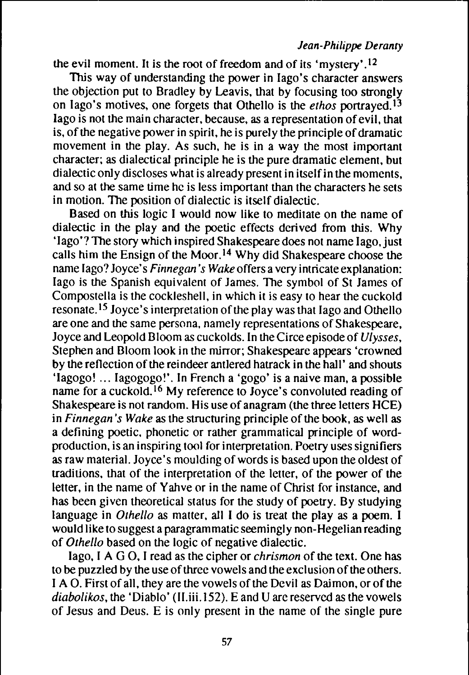the evil moment. It is the root of freedom and of its 'mystery' .12

This way of understanding the power in lago's character answers the objection put to Bradley by Leavis. that by focusing too strongly on lago's motives. one forgets that Othello is the *ethos* portrayed. <sup>13</sup> lago is not the main character, because, as a representation of evil, that is, of the negative power in spirit, he is purely the principle of dramatic movement in the play. As such, he is in a way the most important character; as dialectical principle he is the pure dramatic element, but dialectic only discloses what is already present in itselfin the moments. and so at the same time he is less important than the characters he sets in motion. The position of dialectic is itself dialectic.

Based on this logic I would now like to meditate on the name of dialectic in the play and the poetic effects derived from this. Why 'Iago'? The story which inspired Shakespeare does not name Iago, just calls him the Ensign of the Moor. <sup>14</sup> Why did Shakespeare choose the name lago? Joyce's *Finnegan's Wake* offers a very intricate explanation: lago is the Spanish equivalent of James. The symbol of St James of Compostella is the cockleshell, in which it is easy to hear the cuckold resonate.<sup>15</sup> Joyce's interpretation of the play was that Iago and Othello are one and the same persona. namely representations of Shakespeare, Joyce and Leopold Bloom as cuckolds. In the Circe episode of *Ulysses,* Stephen and Bloom look in the mirror; Shakespeare appears 'crowned by the reflection of the reindeer antlered hatrack in the hall' and shouts 'Iagogo! ... lagogogo!'. In French a 'gogo' is a naive man. a possible name for a cuckold. <sup>16</sup> My reference to Joyce's convoluted reading of Shakespeare is not random. His use of anagram (the three letters HCE) in *Finnegan's* Wake as the structuring principle of the book, as well as a defining poetic. phonetic or rather grammatical principle of wordproduction, is an inspiring tool for interpretation. Poetry uses signifiers as raw material. Joyce's moulding of words is based upon the oldest of traditions. that of the interpretation of the letter. of the power of the letter. in the name of Yahve or in the name of Christ for instance, and has been given theoretical status for the study of poetry. By studying language in *Othello* as matter, all I do is treat the play as a poem. I would like to suggest a paragrammatic seemingly non-Hegelian reading of *Othello* based on the logic of negative dialectic.

lago, I A G 0, I read as the cipher or *chrismon* of the text. One has to be puzzled by the use of three vowels and the exclusion of the others. I A O. First of all, they are the vowels of the Devil as Daimon, or of the *diabolikos*, the 'Diablo' (II.iii.152). E and U are reserved as the vowels of Jesus and Deus. E is only present in the name of the single pure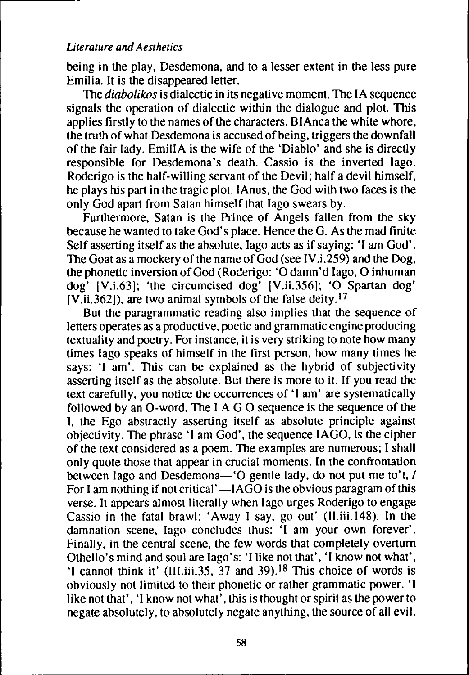being in the play, Desdemona, and to a lesser extent in the less pure Emilia. It is the disappeared letter.

The *diabolikos* is dialectic in its negative moment. The IA sequence signals the operation of dialectic within the dialogue and plot. This applies firstly to the names of the characters. BIAnca the white whore, the truth of what Desdemona is accused of being, triggers the downfall of the fair lady. EmiliA is the wife of the 'Diablo' and she is directly responsihle for Desdemona's death. Cassio is the inverted lago. Roderigo is the half-willing servant of the Devil; half a devil himself, he plays his part in the tragic plot. IAnus, the God with two faces is the only God apart from Satan himself that Iago swears by.

Furthermore, Satan is the Prince of Angels fallen from the sky because he wanted to take God's place. Hence the G. As the mad finite Self asserting itself as the absolute, Iago acts as if saying: 'I am God'. The Goat as a mockery of the name of  $God$  (see IV.i.259) and the Dog, the phonetic inversion of God (Roderigo: 'O damn'd Iago, O inhuman dog' [V.i.63]; 'the circumcised dog' [V.ii.356]; 'O Spartan dog'  $[V.ii.362]$ ), are two animal symbols of the false deity.<sup>17</sup>

But the paragrammatic reading also implies that the sequence of letters operates as a productive, poetic and grammatic engine producing textuality and poetry. For instance, it is very striking to note how many times lago speaks of himself in the first person, how many times he says: 'I am'. This can be explained as the hybrid of subjectivity asserting itself as the absolute. But there is more to it. If you read the text carefully, you notice the occurrences of 'I am' are systematically followed by an O-word. The I A G O sequence is the sequence of the I, the Ego abstractly asserting itself as absolute principle against objectivity. The phrase 'I am God', the sequence IAGO, is the cipher of the text considered as a poem. The examples are numerous; I shall only quote those that appear in crucial moments. In the confrontation between lago and Desdemona-'O gentle lady, do not put me to't, / For I am nothing if not critical' $-IAGO$  is the obvious paragram of this verse. It appears almost literally when lago urges Roderigo to engage Cassio in the fatal brawl: 'Away I say, go out' (II.iii.148). In the damnation scene, lago concludes thus: 'I am your own forever'. Finally, in the central scene, the few words that completely overturn Othello's mind and soul are Iago's: 'I like not that', 'I know not what', 'I cannot think it' (III.iii.35,  $\overline{37}$  and 39).<sup>18</sup> This choice of words is obviously not limited to their phonetic or rather grammatic power. 'I like not that', 'I know not what'. this is thought or spirit as the power to negate ahsolutely, to ahsolutely negate anything, the source of all evil.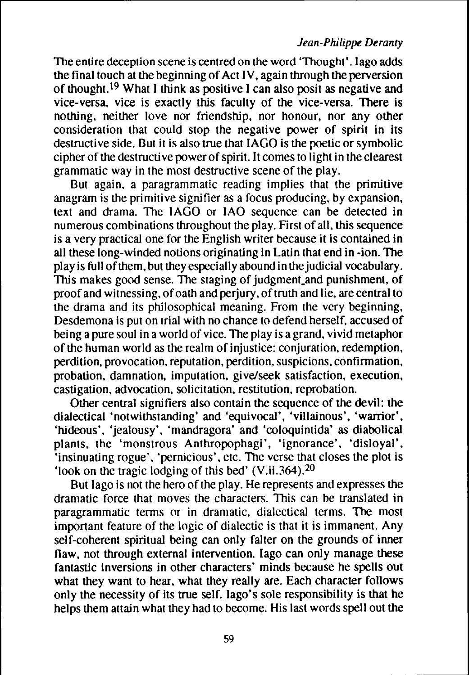The entire deception scene is centred on the word 'Thought'. lago adds the final touch at the beginning of Act IV, again through the perversion of thought. 19 What I think as positive I can also posit as negative and vice-versa, vice is exactly this faculty of the vice-versa. There is nothing, neither love nor friendship, nor honour, nor any other consideration that could stop the negative power of spirit in its destructive side. But it is also true that IAGO is the poetic or symbolic cipher of the destructive power of spirit. It comes to light in the clearest grammatic way in the most destructive scene of the play.

But again. a paragrammatic reading implies that the primitive anagram is the primitive signifier as a focus producing, by expansion, text and drama. The IAGO or lAO sequence can be detected in numerous combinations throughout the play. First of all, this sequence is a very practical one for the English writer because it is contained in all these long-winded notions originating in Latin that end in -ion. The play is full of them, but they especially abound in the judicial vocabulary. This makes good sense. The staging of judgment and punishment, of proof and witnessing, of oath and perjury, of truth and lie, are central to the drama and its philosophical meaning. From the very beginning, Desdemona is put on trial with no chance to defend herself, accused of being a pure soul in a world of vice. The play is a grand, vivid metaphor of the human world as the realm of injustice: conjuration, redemption, perdition. provocation, reputation, perdition, suspicions. confirmation, probation, damnation, imputation, give/seek satisfaction, execution, castigation, advocation, solicitation, restitution, reprobation.

Other central signifiers also contain the sequence of the devil: the dialectical 'notwithstanding' and 'equivocal', 'villainous', 'warrior', 'hideous', 'jealousy', 'mandragora' and 'coloquintida' as diabolical plants, the 'monstrous Anthropophagi', 'ignorance', 'disloyal', 'insinuating rogue', 'pernicious', etc. The verse that closes the plot is 'look on the tragic lodging of this bed' (V.ii.364).20

But lago is not the hero of the play. He represents and expresses the dramatic force that moves the characters. This can be translated in paragrammatic terms or in dramatic, dialectical terms. The most important feature of the logic of dialectic is that it is immanent. Any self-coherent spiritual being can only falter on the grounds of inner flaw, not through external intervention. lago can only manage these fantastic inversions in other characters' minds because he spells out what they want to hear, what they really are. Each character follows only the necessity of its true self. lago's sole responsibility is that he helps them attain what they had to become. His last words spell out the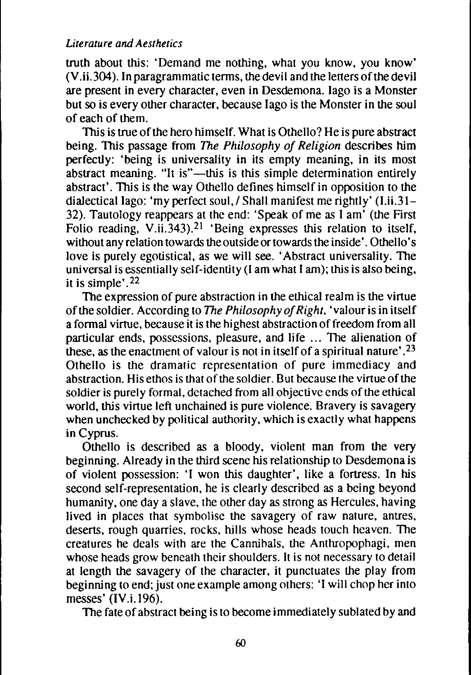truth about this: 'Demand me nothing, what you know, you know' (V.ii.304). In paragrammatic terms, the devil and the letters of the devil are present in every character, even in Desdemona. lago is a Monster but so is every other character, because lago is the Monster in the soul of each of them.

This is true of the hero himself. What is Othello? He is pure abstract being. This passage from The *Philosophy of Religion* describes him perfectly: 'being is universality in its empty meaning, in its most abstract meaning. "It is"—this is this simple determination entirely abstract'. This is the way Othello defines himselfin opposition to the dialectical lago: 'my perfect soul, / Shall manifest me rightly' (I, ii, 31 – 32). Tautology reappears at the end: 'Speak of me as I am' (the First Folio reading, V.ii.343).<sup>21</sup> 'Being expresses this relation to itself, without any relation towards the outside or towards the inside'. Othello's love is purely egotistical, as we will see. 'Abstract universality. The universal is essentially self-identity (I am what I am); this is also being, it is simple'.22

The expression of pure abstraction in the ethical realm is the virtue of the soldier. According to *The Philosophy of Right*, 'valour is in itself a formal virtue, because it is the highest abstraction of freedom from all particular ends, possessions, pleasure, and life ... The alienation of these, as the enactment of valour is not in itself of a spiritual nature'.<sup>23</sup> Othello is the dramatic representation of pure immediacy and abstraction. His ethos is that of the soldier. But because the virtue of the soldier is purely formal, detached from all objective ends of the ethical world, this virtue left unchained is pure violence. Bravery is savagery when unchecked by political authority, which is exactly what happens in Cyprus.

Othello is described as a bloody. violent man from the very beginning. Already in the third scene his relationship to Desdemona is of violent possession: 'I won this daughter', like a fortress. In his second self-representation, he is clearly described as a being beyond humanity. one day a slave. the other day as strong as Hercules, having lived in places that symbolise the savagery of raw nature, antres. deserts. rough quarries, rocks. hills whose heads touch heaven. The creatures he deals with are the Cannihals, the Anthropophagi. men whose heads grow beneath their shoulders. It is not necessary to detail at length the savagery of the character, it punctuates the play from beginning to end; just one example among others: 'I will chop her into messes' (lV.i.196).

The fate of abstract being isto become immediately sublated by and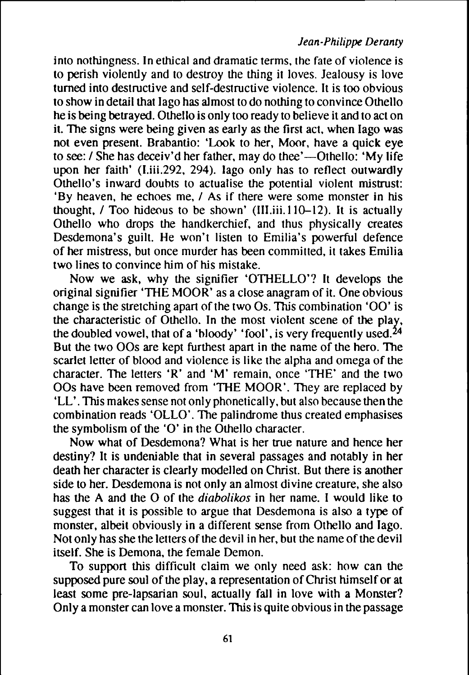into nothingness. In ethical and dramatic terms. the fate of violence is to perish violently and to destroy the thing it loves. Jealousy is love turned into destructive and self-destructive violence. It is too obvious to show in detail that lago has almost to do nothing to convince Othello he is being betrayed. Othello is only too ready to believe it and to act on it. The signs were being given as early as the first act. when lago was not even present. Brabantio: 'Look to her, Moor, have a quick eye to see: / She has deceiv'd her father, may do thee'—Othello: 'My life upon her faith' (I.iii.292, 294). lago only has to reflect outwardly Othello's inward douhts to actualise the potential violent mistrust: 'By heaven, he echoes me, I As if there were some monster in his thought, / Too hideous to be shown' (III.iii.110-12). It is actually Othello who drops the handkerchief, and thus physically creates Desdemona's guilt. He won't listen to Emilia's powerful defence of her mistress, but once murder has been committed, it takes Emilia two lines to convince him of his mistake.

Now we ask, why the signifier 'OTHELLO'? It develops the original signifier 'THE MOOR' as a close anagram of it. One obvious change is the stretching apart of the two  $\overline{Os}$ . This combination 'OO' is the characteristic of Othello. In the most violent scene of the play, the doubled vowel, that of a 'hloody' 'fool', is very frequently used. But the two OOs are kept furthest apart in the name of the hero. The scarlet letter of blood and violence is like the alpha and omega of the character. The letters 'R' and 'M' remain, once 'THE' and the two OOs have been removed from 'THE MOOR'. They are replaced by 'LL'. This makes sense not only phonetically, but also because then the combination reads 'OLLO'. The palindrome thus created emphasises the symbolism of the ' $O'$  in the Othello character.

Now what of Desdemona? What is her true nature and hence her destiny? It is undeniable that in several passages and notably in her death her character is clearly modelled on Christ. But there is another side to her. Desdemona is not only an almost divine creature, she also has the A and the O of the *diabolikos* in her name. I would like to suggest that it is possible to argue that Desdemona is also a type of monster, albeit obviously in a different sense from Othello and lago. Not only has she the letters of the devil in her, but the name of the devil itself. She is Demona, the female Demon.

To support this difficult claim we only need ask: how can the supposed pure soul of the play, a representation of Christ himself or at least some pre-lapsarian soul, actually fall in love with a Monster? Only a monster can love a monster. This is quite obvious in the passage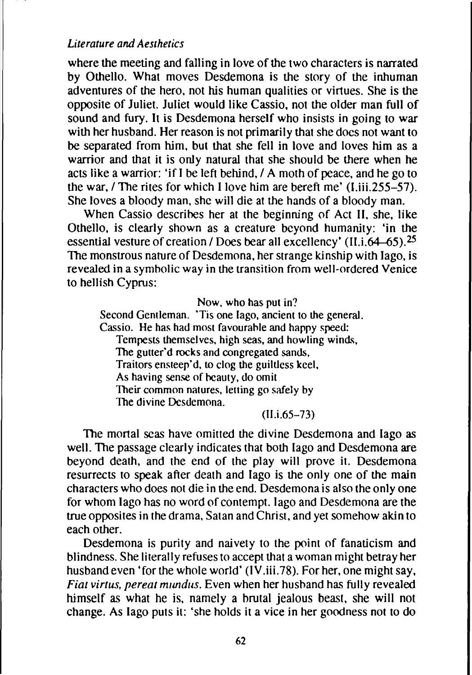where the meeting and falling in love of the two characters is narrated by Othello. What moves Desdemona is the story of the inhuman adventures of the hero, not his human qualities or virtues. She is the opposite of Juliet. Juliet would like Cassio, not the older man full of sound and fury. It is Desdemona herself who insists in going to war with her husband. Her reason is not primarily that she does not want to be separated from him, but that she fell in love and loves him as a warrior and that it is only natural that she should be there when he acts like a warrior: 'if 1be left behind, / A moth of peace, and he go to the war, / The rites for which 1love him are bereft me' (I.iii.255-57). She loves a bloody man, she will die at the hands of a bloody man.

When Cassio describes her at the beginning of Act II, she, like Othello, is clearly shown as a creature beyond humanity: 'in the essential vesture of creation / Does bear all excellency' (II.i. $64-65$ ).<sup>25</sup> The monstrous nature of Desdemona, her strange kinship with lago, is revealed in a symholic way in the transition from well-ordered Venice to hellish Cyprus:

Now, who has put in?

Second Gentleman. 'Tis one lago, ancient to the general. Cassio. He has had most favourahle and happy speed: Tempests themselves, high seas, and howling winds, The gutter'd rocks and congregated sands. Traitors ensteep'd, to clog the guiltless keel. As having sense of beauty, do omit Their common natures, letting go safely by The divine Desdemona.

(I1.i.65-73)

The mortal seas have omitted the divine Desdemona and lago as well. The passage clearly indicates that both lago and Desdemona are beyond death, and the end of the play will prove it. Desdemona resurrects to speak after death and lago is the only one of the main characters who does not die in the end. Desdemona is also the only one for whom lago has no word of contempt. lago and Desdemona are the true opposites in the drama, Satan and Christ, and yet somehow akin to each other.

Desdemona is purity and naivety to the point of fanaticism and blindness. She literally refuses to accept that awoman might betray her husband even 'for the whole world' (IV.iii.78). For her, one might say. *Fiat virtus. pereat mundus.* Even when her hushand has fully revealed himself as what he is, namely a brutal jealous beast, she will not change. As lago puts it: 'she holds it a vice in her goodness not to do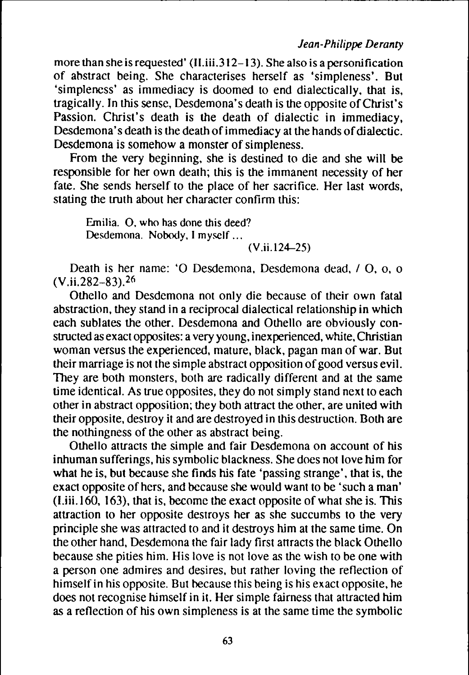more than she is requested' (II.iii.312-13). She also is a personification of ahstract being. She characterises herself as 'simpleness'. But 'simpleness' as immediacy is doomed to end dialectically, that is, tragically. In this sense, Desdemona's death is the opposite ofChrist's Passion. Christ's death is the death of dialectic in immediacy, Desdemona's death is the death of immediacy at the hands of dialectic. Desdemona is somehow a monster of simpleness.

From the very beginning, she is destined to die and she will be responsible for her own death; this is the immanent necessity of her fate. She sends herself to the place of her sacrifice. Her last words. stating the truth about her character confirm this:

Emilia. O. who has done this deed? Desdemona. Nobody, I myself ...

#### (V.ii.l24-25)

Death is her name: 'O Desdemona, Desdemona dead, / O, o, o (V.ii.282-83).26

Othello and Desdemona not only die because of their own fatal abstraction, they stand in a reciprocal dialectical relationship in which each sublates the other. Desdemona and Othello are obviously constructed as exact opposites: a very young, inexperienced, white, Christian woman versus the experienced. mature. black, pagan man of war. But their marriage is not the simple abstract opposition of good versus evil. They are both monsters, both are radically different and at the same time identical. As true opposites, they do not simply stand next to each other in abstract opposition; they both attract the other, are united with their opposite. destroy it and are destroyed in this destruction. Doth are the nothingness of the other as abstract being.

Othello attracts the simple and fair Desdemona on account of his inhuman sufferings. his symbolic blackness. She does not love him for what he is, but because she finds his fate 'passing strange', that is, the exact opposite of hers, and because she would want to be 'such a man' (Liii.l60, 163). that is. become the exact opposite of what she is. This attraction to her opposite destroys her as she succumbs to the very principle she was attracted to and it destroys him at the same time. On the other hand. Desdemona the fair lady first attracts the black Othello because she pities him. His love is not love as the wish to be one with a person one admires and desires. but rather loving the reflection of himself in his opposite. But because this being is his exact opposite, he does not recognise himself in it. Her simple fairness that attracted him as a reflection of his own simpleness is at the same time the symbolic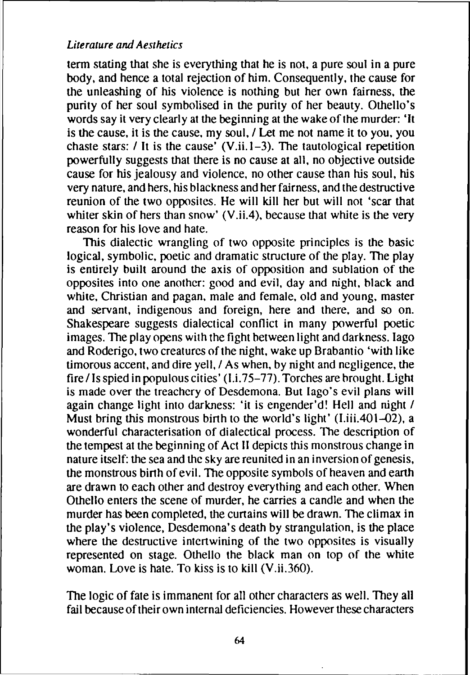term stating that she is everything that he is not, a pure soul in a pure body. and hence a total rejection of him. Consequently. the cause for the unleashing of his violence is nothing but her own fairness. the purity of her soul symbolised in the purity of her beauty. Othello's words say it very clearly at the beginning at the wake of the murder: 'It is the cause, it is the cause, my soul, / Let me not name it to you, you chaste stars:  $\ell$  It is the cause' (V.ii.1-3). The tautological repetition powerfully suggests that there is no cause at all. no objective outside cause for his jealousy and violence. no other cause than his soul, his very nature. and hers. his blackness and her fairness, and the destructive reunion of the two opposites. He will kill her but will not 'scar that whiter skin of hers than snow' (V.ii.4), because that white is the very reason for his love and hate.

This dialectic wrangling of two opposite principles is the basic logical. symbolic. poetic and dramatic structure of the play. The play is entirely built around the axis of opposition and sublation of the opposites into one another: good and evil. day and night, black and white. Christian and pagan. male and female. old and young. master and servant, indigenous and foreign, here and there. and so on. Shakespeare suggests dialectical conflict in many powerful poetic images. The play opens with the fight between light and darkness. lago and Roderigo, two creatures of the night, wake up Brabantio 'with like timorous accent, and dire yell, / As when, by night and negligence, the fire / Is spied in populous cities' ( $1.175-77$ ). Torches are brought. Light is made over the treachery of Desdemona. But Iago's evil plans will again change light into darkness: 'it is engender'd! Hell and night / Must bring this monstrous birth to the world's light' (I.iii.401–02), a wonderful characterisation of dialectical process. The description of the tempest at the beginning of Act II depicts this monstrous change in nature itself: the sea and the sky are reunited in an inversion of genesis, the monstrous birth of evil. The opposite symbols of heaven and earth are drawn to each other and destroy everything and each other. When Othello enters the scene of murder, he carries a candle and when the murder has been completed. the curtains will be drawn. The climax in the play's violence, Desdemona's death by strangulation, is the place where the destructive intertwining of the two opposites is visually represented on stage. Othello the black man on top of the white woman. Love is hate. To kiss is to kill (V.ii.360).

The logic of fate is immanent for all other characters as well. They all fail because of their own internal deficiencies. However these characters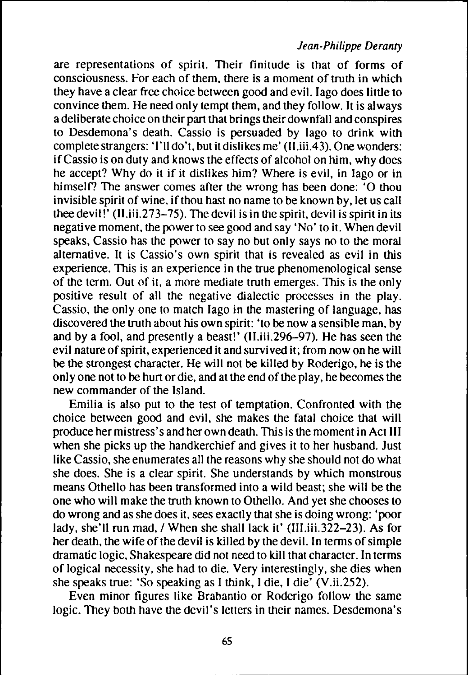## *Jean-Philippe Deranty*

are representations of spirit. Their finitude is that of forms of consciousness. For each of them, there is a moment of truth in which they have a clear free choice between good and evil. Iago does little to convince them. He need only tempt them. and they follow. It is always adeliberate choice on their part that brings their downfall and conspires to Desdemona's death. Cassio is persuaded by lago to drink with complete strangers: 'I'll do't, but it dislikes me'  $(II.iii.43)$ . One wonders: ifCassio is on duty and knows the effects of alcohol on him, why does he accept? Why do it if it dislikes him? Where is evil, in lago or in himself? The answer comes after the wrong has been done: 'O thou invisible spirit of wine, if thou hast no name to be known by, let us call thee devil!'  $(II.iii.273-75)$ . The devil is in the spirit, devil is spirit in its negative moment, the power to see good and say 'No' to it. When devil speaks, Cassio has the power to say no but only says no to the moral alternative. It is Cassio's own spirit that is revealed as evil in this experience. This is an experience in the true phenomenological sense of the term. Out of it, a more mediate truth emerges. This is the only positive result of all the negative dialectic processes in the play. Cassio, the only one to match lago in the mastering of language, has discovered the truth about his own spirit: 'to be now asensible man, by and by a fool, and presently a beast!' (lI.iii.296-97). He has seen the evil nature of spirit, experienced it and survived it; from now on he will be the strongest character. He will not be killed by Roderigo, he is the only one not to be hurt or die, and at the end of the play, he becomes the new commander of the Island.

Emilia is also put to the test of temptation. Confronted with the choice between good and evil, she makes the fatal choice that will produce her mistress's and her own death. This is the moment in Act III when she picks up the handkerchief and gives it to her husband. Just like Cassio. she enumerates all the reasons why she should not do what she does. She is a clear spirit. She understands by which monstrous means Othello has been transformed into a wild beast; she will be the one who will make the truth known to Othello. And yet she chooses to do wrong and as she does it, sees exactly that she is doing wrong: 'poor lady, she'll run mad, / When she shall lack it' (lII.iii.322-23). As for her death, the wife of the devil is killed by the devil. In terms of simple dramatic logic, Shakespeare did not need to kill that character. In terms of logical necessity, she had to die. Very interestingly, she dies when she speaks true: 'So speaking as I think, I die, I die' (V.ii.252).

Even minor figures like Brahantio or Roderigo follow the same logic. They both have the devil's letters in their names. Desdemona's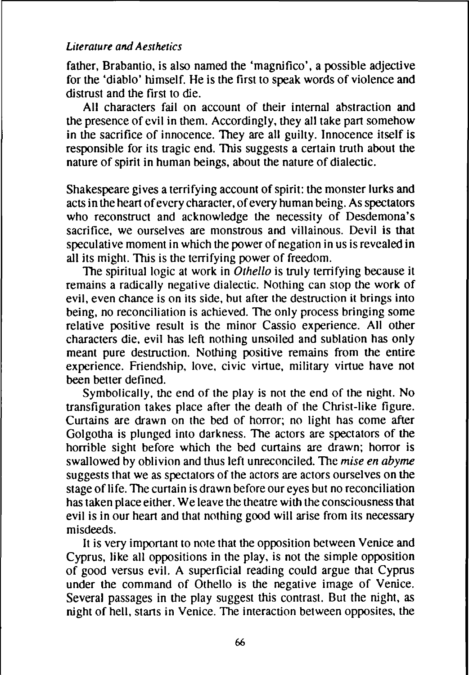father. Brabantio. is also named the 'magnifico'. a possible adjective for the 'diablo' himself. He is the first to speak words of violence and distrust and the first to die.

All characters fail on account of their internal ahstraction and the presence of evil in them. Accordingly. they all take part somehow in the sacrifice of innocence. They are all guilty. Innocence itself is responsible for its tragic end. This suggests a certain truth about the nature of spirit in human beings, about the nature of dialectic.

Shakespeare gives a terrifying account of spirit: the monster lurks and acts in the heart of every character, of every human being. As spectators who reconstruct and acknowledge the necessity of Desdemona's sacrifice, we ourselves are monstrous and villainous. Devil is that speculative moment in which the power of negation in us is revealed in all its might. This is the tcrrifying power of freedom.

The spiritual logic at work in *Othello* is truly terrifying because it remains a radically negative dialectic. Nothing can stop the work of evil, even chance is on its side. hut after the destruction it brings into being. no reconciliation is achieved. The only process bringing some relative positive result is the minor Cassio experience. All other characters die. evil has left nothing unsoiled and sublation has only meant pure destruction. Nothing positive remains from the entire experience. Friendship. love. civic virtue, military virtue have not been better defincd.

Symbolically. the end of the play is not the end of the night. No transfiguration takes place after the death of the Christ-like figure. Curtains are drawn on the bed of horror; no light has come after Golgotha is plunged into darkness. The actors are spectators of the horrible sight before which the bed curtains are drawn; horror is swallowed hy oblivion and thus left unreconciled. The *mise en abyme* suggests that we as spectators of the actors are actors ourselves on the stage of life. The curtain is drawn before our eyes but no reconciliation has taken place either. We leave the theatre with the consciousness that evil is in our heart and that nothing good will arise from its necessary misdeeds.

It is very important to note that the opposition bctween Venice and Cyprus, like all oppositions in the play. is not the simple opposition of good versus evil. A superficial reading could argue that Cyprus under the command of Othello is the negative image of Venice. Several passages in the play suggest this contrast. But the night, as night of hell. starts in Venice. The interaction between opposites. the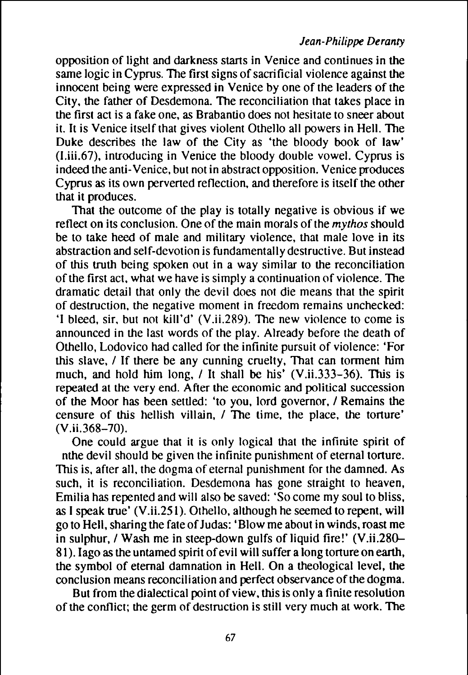opposition of light and darkness starts in Venice and continues in the same logic in Cyprus. The first signs of sacrificial violence against the innocent being were expressed in Venice by one of the leaders of the City. the father of Desdemona. The reconciliation that takes place in the first act is a fake one. as Brabantio does not hesitate to sneer about it. It is Venice itself that gives violent Othello all powers in Hell. The Duke describes the law of the City as 'the bloody book of law' (I.iii.67), introducing in Venice the bloody double vowel. Cyprus is indeed the anti-Venice, but not in abstract opposition. Venice produces Cyprus as its own pervened reflection, and therefore is itself the other that it produces.

That the outcome of the play is totally negative is obvious if we reflect on its conclusion. One of the main morals of the *mythos* should be to take heed of male and military violence, that male love in its abstraction and self-devotion is fundamentally destructive. But instead of this truth being spoken out in a way similar to the reconciliation of the first act, what we have is simply a continuation of violence. The dramatic detail that only the devil does not die means that the spirit of destruction. the negative moment in freedom remains unchecked: 'I bleed, sir. but not kill'd' (V.ii.2R9). The new violence to come is announced in the last words of the play. Already before the death of Othello, Lodovico had called for the infinite pursuit of violence: 'For this slave, / If there be any cunning cruelty. That can torment him much, and hold him long, / It shall be his' (V.ii.333-36). This is repeated at the very end. After the economic and political succession of the Moor has been settled: 'to you. lord governor, I Remains the censure of this hellish villain, / The time, the place, the torture' (V.ii,368-70).

One could argue that it is only logical that the infinite spirit of nthe devil should be given the infinite punishment of eternal tonure. This is. after all. the dogma of eternal punishment for the damned. As such, it is reconciliation. Desdemona has gone straight to heaven, Emilia has repented and will also be saved: 'So come my soul to bliss, as I speak true' (V.ii.25l). Othello, although he seemed to repent, will go to Hell, sharing the fate ofJudas: 'Blow me about in winds, roast me in sulphur, / Wash me in steep-down gulfs of liquid fire!' (V.ii.280– 81). Iago as the untamed spirit of evil will suffer a long torture on earth, the symbol of eternal damnation in Hell. On a theological level, the conclusion means reconciliation and perfect observance of the dogma.

But from the dialectical point of view. this is only a finite resolution of the conflict; the germ of destruction is still very much at work. The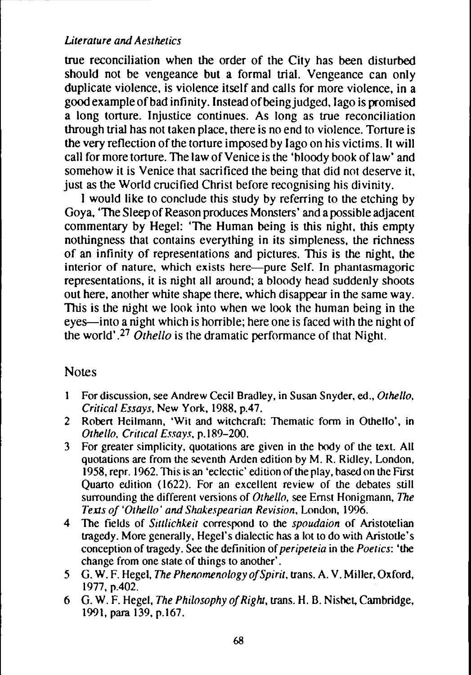true reconciliation when the order of the City has been disturbed should not be vengeance but a formal trial. Vengeance can only duplicate violence, is violence itself and calls for more violence, in a good example ofbad infinity. Instead ofbeing judged, lago is promised a long torture. Injustice continues. As long as true reconciliation through trial has not taken place, there is no end to violence. Torture is the very reflection of the torture imposed by Iago on his victims. It will call for more torture. The law of Venice is the 'bloody book of law' and somehow it is Venice that sacrificed the being that did not deserve it, just as the World crucified Christ before recognising his divinity.

I would like to conclude this study by referring to the etching by Goya, 'The Sleep of Reason produces Monsters' and a possible adjacent commentary by Hegel: 'The Human being is this night. this empty nothingness that contains everything in its simpleness, the richness of an infinity of representations and pictures. This is the night, the interior of nature, which exists here—pure Self. In phantasmagoric representations, it is night all around; a bloody head suddenly shoots out here. another white shape there, which disappear in the same way. This is the night we look into when we look the human being in the eyes—into a night which is horrible; here one is faced with the night of the world',27 *Othello* is the dramatic performance of that Night.

## **Notes**

- For discussion, see Andrew Cecil Bradley, in Susan Snyder, ed., *Othello,*  $\mathbf{I}$ *Critical Essays,* New York, 1988, p.47.
- 2 Robert Heilmann, 'Wit and witchcraft: Thematic form in Othello', in *Othello. Critical Essays,* p. I 89-200.
- 3 For greater simplicity, quotations are given in the hody of the text. All quotations are from the seventh Arden edition by M. R. Ridley, London, 1958, repr. 1962. This is an 'eclectic' edition of the play, based on the First Quarto edition (1622). For an excellent review of the debates still surrounding the different versions of *Othello.* see Ernst Honigmann, *The Texts of 'Othello' and Shakespearian Revision.* London, 1996.
- 4 The fields of *Sittlichkeit* correspond to the *spoudaion* of Aristotelian tragedy. More generally, Hegel's dialectic has a lot to do with Aristotle's conception of tragedy. See the definition of*peripeteia* in the *Poetics:* 'the change from one state of things to another' .
- 5 G. w. F. Hegel, *The Phenomenology ofSpirit,* trans. A. V. Miller, Oxford, 1977, p.402.
- 6 G. w. F. Hegel, *The Philosophy ofRight,* trans. H. B. Nishet. Cambridge, 1991, para 139, p.167.